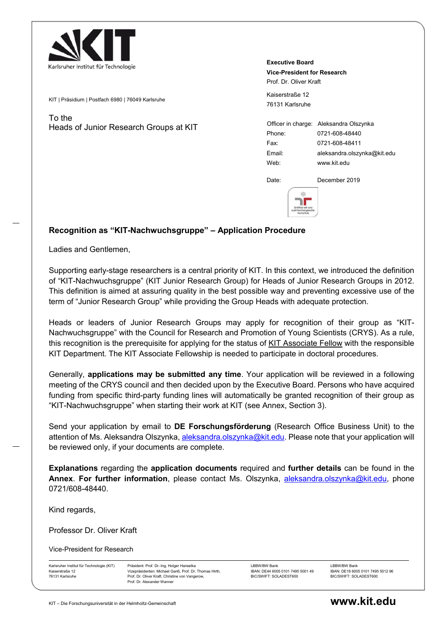

KIT | Präsidium | Postfach 6980 | 76049 Karlsruhe

To the Heads of Junior Research Groups at KIT **Executive Board Vice-President for Research**  Prof. Dr. Oliver Kraft

Kaiserstraße 12 76131 Karlsruhe

Officer in charge: Aleksandra Olszynka Phone: 0721-608-48440 Fax: 0721-608-48411 Email: aleksandra.olszynka@kit.edu Web: www.kit.edu

Date: December 2019



## **Recognition as "KIT-Nachwuchsgruppe" – Application Procedure**

Ladies and Gentlemen,

Supporting early-stage researchers is a central priority of KIT. In this context, we introduced the definition of "KIT-Nachwuchsgruppe" (KIT Junior Research Group) for Heads of Junior Research Groups in 2012. This definition is aimed at assuring quality in the best possible way and preventing excessive use of the term of "Junior Research Group" while providing the Group Heads with adequate protection.

Heads or leaders of Junior Research Groups may apply for recognition of their group as "KIT-Nachwuchsgruppe" with the Council for Research and Promotion of Young Scientists (CRYS). As a rule, this recognition is the prerequisite for applying for the status of KIT Associate Fellow with the responsible KIT Department. The KIT Associate Fellowship is needed to participate in doctoral procedures.

Generally, **applications may be submitted any time**. Your application will be reviewed in a following meeting of the CRYS council and then decided upon by the Executive Board. Persons who have acquired funding from specific third-party funding lines will automatically be granted recognition of their group as "KIT-Nachwuchsgruppe" when starting their work at KIT (see Annex, Section 3).

Send your application by email to **DE Forschungsförderung** (Research Office Business Unit) to the attention of Ms. Aleksandra Olszynka, aleksandra.olszynka@kit.edu. Please note that your application will be reviewed only, if your documents are complete.

**Explanations** regarding the **application documents** required and **further details** can be found in the Annex. For further information, please contact Ms. Olszynka, aleksandra.olszynka@kit.edu, phone 0721/608-48440.

Kind regards,

Professor Dr. Oliver Kraft

Vice-President for Research

Karlsruher Institut für Technologie (KIT) Kaiserstraße 12 76131 Karlsruhe

Präsident: Prof. Dr.-Ing. Holger Hanselka Vizepräsidenten: Michael Ganß, Prof. Dr. Thomas Hirth, Prof. Dr. Oliver Kraft, Christine von Vangerow, Prof. Dr. Alexander Wanner

LBBW/BW Bank IBAN: DE44 6005 0101 7495 5001 49 BIC/SWIFT: SOLADEST600

LBBW/BW Bank IBAN: DE18 6005 0101 7495 5012 96 BIC/SWIFT: SOLADEST600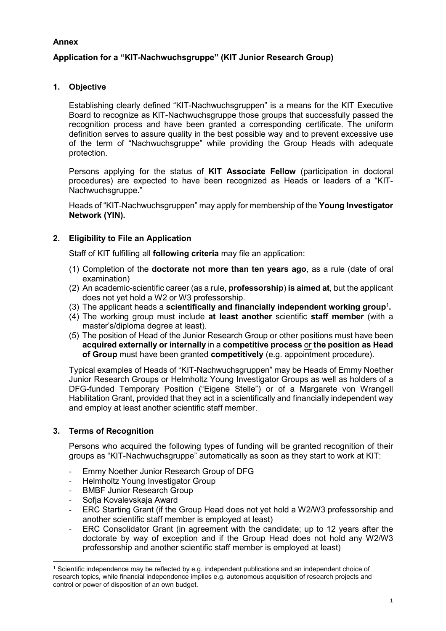# **Annex**

# **Application for a "KIT-Nachwuchsgruppe" (KIT Junior Research Group)**

# **1. Objective**

Establishing clearly defined "KIT-Nachwuchsgruppen" is a means for the KIT Executive Board to recognize as KIT-Nachwuchsgruppe those groups that successfully passed the recognition process and have been granted a corresponding certificate. The uniform definition serves to assure quality in the best possible way and to prevent excessive use of the term of "Nachwuchsgruppe" while providing the Group Heads with adequate protection.

Persons applying for the status of **KIT Associate Fellow** (participation in doctoral procedures) are expected to have been recognized as Heads or leaders of a "KIT-Nachwuchsgruppe."

Heads of "KIT-Nachwuchsgruppen" may apply for membership of the **Young Investigator Network (YIN).**

## **2. Eligibility to File an Application**

Staff of KIT fulfilling all **following criteria** may file an application:

- (1) Completion of the **doctorate not more than ten years ago**, as a rule (date of oral examination)
- (2) An academic-scientific career (as a rule, **professorship**) **is aimed at**, but the applicant does not yet hold a W2 or W3 professorship.
- (3) The applicant heads a **scientifically and financially independent working group**<sup>1</sup> **.**
- (4) The working group must include **at least another** scientific **staff member** (with a master's/diploma degree at least).
- (5) The position of Head of the Junior Research Group or other positions must have been **acquired externally or internally** in a **competitive process** or **the position as Head of Group** must have been granted **competitively** (e.g. appointment procedure).

Typical examples of Heads of "KIT-Nachwuchsgruppen" may be Heads of Emmy Noether Junior Research Groups or Helmholtz Young Investigator Groups as well as holders of a DFG-funded Temporary Position ("Eigene Stelle") or of a Margarete von Wrangell Habilitation Grant, provided that they act in a scientifically and financially independent way and employ at least another scientific staff member.

## **3. Terms of Recognition**

l

Persons who acquired the following types of funding will be granted recognition of their groups as "KIT-Nachwuchsgruppe" automatically as soon as they start to work at KIT:

- Emmy Noether Junior Research Group of DFG
- Helmholtz Young Investigator Group
- BMBF Junior Research Group
- Sofia Kovalevskaja Award
- ERC Starting Grant (if the Group Head does not yet hold a W2/W3 professorship and another scientific staff member is employed at least)
- ERC Consolidator Grant (in agreement with the candidate; up to 12 years after the doctorate by way of exception and if the Group Head does not hold any W2/W3 professorship and another scientific staff member is employed at least)

<sup>1</sup> Scientific independence may be reflected by e.g. independent publications and an independent choice of research topics, while financial independence implies e.g. autonomous acquisition of research projects and control or power of disposition of an own budget.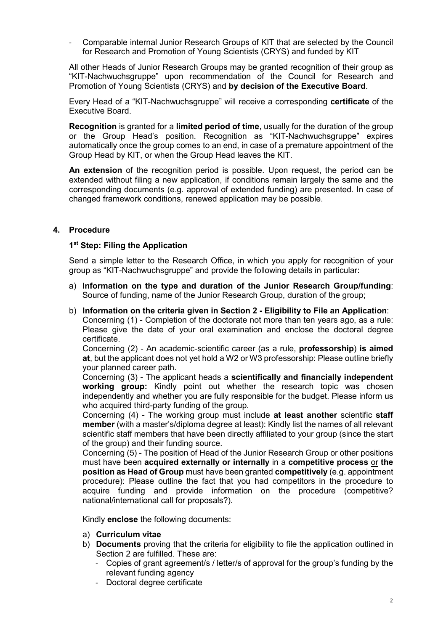- Comparable internal Junior Research Groups of KIT that are selected by the Council for Research and Promotion of Young Scientists (CRYS) and funded by KIT

All other Heads of Junior Research Groups may be granted recognition of their group as "KIT-Nachwuchsgruppe" upon recommendation of the Council for Research and Promotion of Young Scientists (CRYS) and **by decision of the Executive Board**.

Every Head of a "KIT-Nachwuchsgruppe" will receive a corresponding **certificate** of the Executive Board.

**Recognition** is granted for a **limited period of time**, usually for the duration of the group or the Group Head's position. Recognition as "KIT-Nachwuchsgruppe" expires automatically once the group comes to an end, in case of a premature appointment of the Group Head by KIT, or when the Group Head leaves the KIT.

**An extension** of the recognition period is possible. Upon request, the period can be extended without filing a new application, if conditions remain largely the same and the corresponding documents (e.g. approval of extended funding) are presented. In case of changed framework conditions, renewed application may be possible.

#### **4. Procedure**

#### **1 st Step: Filing the Application**

Send a simple letter to the Research Office, in which you apply for recognition of your group as "KIT-Nachwuchsgruppe" and provide the following details in particular:

- a) **Information on the type and duration of the Junior Research Group/funding**: Source of funding, name of the Junior Research Group, duration of the group;
- b) **Information on the criteria given in Section 2 Eligibility to File an Application**: Concerning (1) - Completion of the doctorate not more than ten years ago, as a rule: Please give the date of your oral examination and enclose the doctoral degree certificate.

Concerning (2) - An academic-scientific career (as a rule, **professorship**) **is aimed at**, but the applicant does not yet hold a W2 or W3 professorship: Please outline briefly your planned career path.

Concerning (3) - The applicant heads a **scientifically and financially independent working group:** Kindly point out whether the research topic was chosen independently and whether you are fully responsible for the budget. Please inform us who acquired third-party funding of the group.

Concerning (4) - The working group must include **at least another** scientific **staff member** (with a master's/diploma degree at least): Kindly list the names of all relevant scientific staff members that have been directly affiliated to your group (since the start of the group) and their funding source.

Concerning (5) - The position of Head of the Junior Research Group or other positions must have been **acquired externally or internally** in a **competitive process** or **the position as Head of Group** must have been granted **competitively** (e.g. appointment procedure): Please outline the fact that you had competitors in the procedure to acquire funding and provide information on the procedure (competitive? national/international call for proposals?).

Kindly **enclose** the following documents:

- a) **Curriculum vitae**
- b) **Documents** proving that the criteria for eligibility to file the application outlined in Section 2 are fulfilled. These are:
	- Copies of grant agreement/s / letter/s of approval for the group's funding by the relevant funding agency
	- Doctoral degree certificate